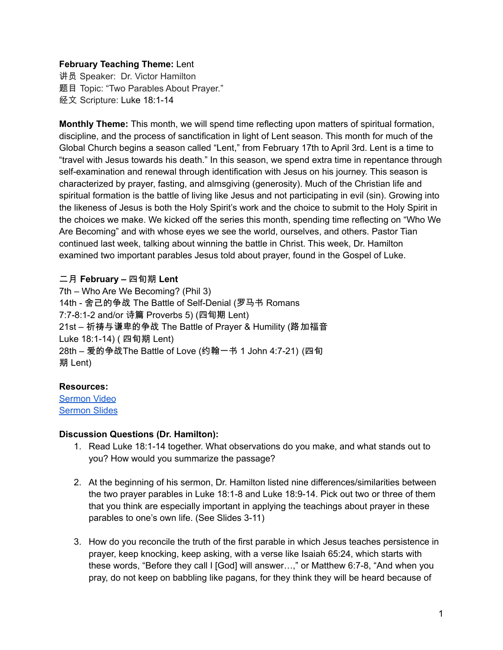# **February Teaching Theme:** Lent

讲员 Speaker: Dr. Victor Hamilton 题目 Topic: "Two Parables About Prayer." 经文 Scripture: Luke 18:1-14

**Monthly Theme:** This month, we will spend time reflecting upon matters of spiritual formation, discipline, and the process of sanctification in light of Lent season. This month for much of the Global Church begins a season called "Lent," from February 17th to April 3rd. Lent is a time to "travel with Jesus towards his death." In this season, we spend extra time in repentance through self-examination and renewal through identification with Jesus on his journey. This season is characterized by prayer, fasting, and almsgiving (generosity). Much of the Christian life and spiritual formation is the battle of living like Jesus and not participating in evil (sin). Growing into the likeness of Jesus is both the Holy Spirit's work and the choice to submit to the Holy Spirit in the choices we make. We kicked off the series this month, spending time reflecting on "Who We Are Becoming" and with whose eyes we see the world, ourselves, and others. Pastor Tian continued last week, talking about winning the battle in Christ. This week, Dr. Hamilton examined two important parables Jesus told about prayer, found in the Gospel of Luke.

## 二月 **February –** 四旬期 **Lent**

7th – Who Are We Becoming? (Phil 3) 14th - 舍己的争战 The Battle of Self-Denial (罗马书 Romans 7:7-8:1-2 and/or 诗篇 Proverbs 5) (四旬期 Lent) 21st – 祈祷与谦卑的争战 The Battle of Prayer & Humility (路加福音 Luke 18:1-14) ( 四旬期 Lent) 28th – 爱的争战The Battle of Love (约翰一书 1 John 4:7-21) (四旬 期 Lent)

### **Resources:**

[Sermon](https://www.youtube.com/watch?v=minfbY7n1MY) Video [Sermon](http://www.lcccky.org/CellGroup/Meetings/2021%2002%2021%20sermon.pdf) Slides

### **Discussion Questions (Dr. Hamilton):**

- 1. Read Luke 18:1-14 together. What observations do you make, and what stands out to you? How would you summarize the passage?
- 2. At the beginning of his sermon, Dr. Hamilton listed nine differences/similarities between the two prayer parables in Luke 18:1-8 and Luke 18:9-14. Pick out two or three of them that you think are especially important in applying the teachings about prayer in these parables to one's own life. (See Slides 3-11)
- 3. How do you reconcile the truth of the first parable in which Jesus teaches persistence in prayer, keep knocking, keep asking, with a verse like Isaiah 65:24, which starts with these words, "Before they call I [God] will answer…," or Matthew 6:7-8, "And when you pray, do not keep on babbling like pagans, for they think they will be heard because of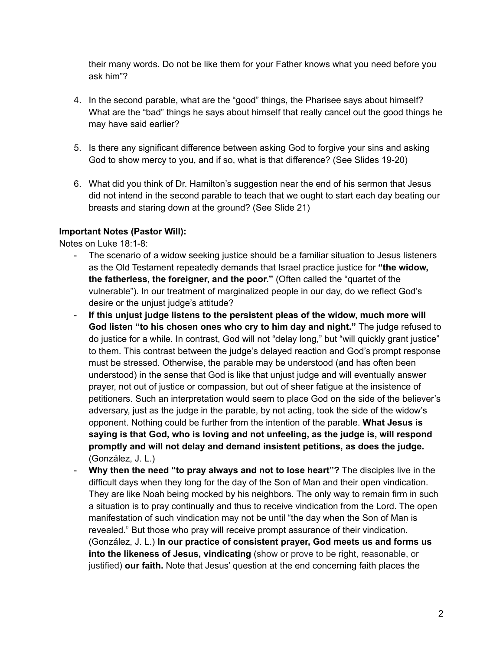their many words. Do not be like them for your Father knows what you need before you ask him"?

- 4. In the second parable, what are the "good" things, the Pharisee says about himself? What are the "bad" things he says about himself that really cancel out the good things he may have said earlier?
- 5. Is there any significant difference between asking God to forgive your sins and asking God to show mercy to you, and if so, what is that difference? (See Slides 19-20)
- 6. What did you think of Dr. Hamilton's suggestion near the end of his sermon that Jesus did not intend in the second parable to teach that we ought to start each day beating our breasts and staring down at the ground? (See Slide 21)

## **Important Notes (Pastor Will):**

Notes on Luke 18:1-8:

- The scenario of a widow seeking justice should be a familiar situation to Jesus listeners as the Old Testament repeatedly demands that Israel practice justice for **"the widow, the fatherless, the foreigner, and the poor."** (Often called the "quartet of the vulnerable"). In our treatment of marginalized people in our day, do we reflect God's desire or the unjust judge's attitude?
- **If this unjust judge listens to the persistent pleas of the widow, much more will God listen "to his chosen ones who cry to him day and night."** The judge refused to do justice for a while. In contrast, God will not "delay long," but "will quickly grant justice" to them. This contrast between the judge's delayed reaction and God's prompt response must be stressed. Otherwise, the parable may be understood (and has often been understood) in the sense that God is like that unjust judge and will eventually answer prayer, not out of justice or compassion, but out of sheer fatigue at the insistence of petitioners. Such an interpretation would seem to place God on the side of the believer's adversary, just as the judge in the parable, by not acting, took the side of the widow's opponent. Nothing could be further from the intention of the parable. **What Jesus is saying is that God, who is loving and not unfeeling, as the judge is, will respond promptly and will not delay and demand insistent petitions, as does the judge.** (González, J. L.)
- **Why then the need "to pray always and not to lose heart"?** The disciples live in the difficult days when they long for the day of the Son of Man and their open vindication. They are like Noah being mocked by his neighbors. The only way to remain firm in such a situation is to pray continually and thus to receive vindication from the Lord. The open manifestation of such vindication may not be until "the day when the Son of Man is revealed." But those who pray will receive prompt assurance of their vindication. (González, J. L.) **In our practice of consistent prayer, God meets us and forms us into the likeness of Jesus, vindicating** (show or prove to be right, reasonable, or justified) **our faith.** Note that Jesus' question at the end concerning faith places the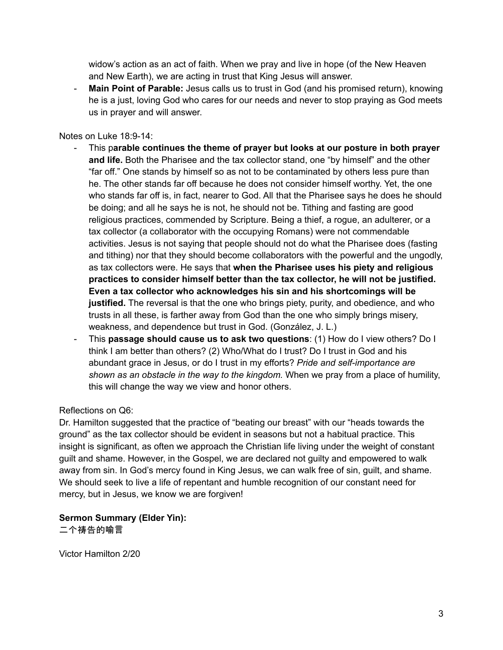widow's action as an act of faith. When we pray and live in hope (of the New Heaven and New Earth), we are acting in trust that King Jesus will answer.

- **Main Point of Parable:** Jesus calls us to trust in God (and his promised return), knowing he is a just, loving God who cares for our needs and never to stop praying as God meets us in prayer and will answer.

Notes on Luke 18:9-14:

- This p**arable continues the theme of prayer but looks at our posture in both prayer and life.** Both the Pharisee and the tax collector stand, one "by himself" and the other "far off." One stands by himself so as not to be contaminated by others less pure than he. The other stands far off because he does not consider himself worthy. Yet, the one who stands far off is, in fact, nearer to God. All that the Pharisee says he does he should be doing; and all he says he is not, he should not be. Tithing and fasting are good religious practices, commended by Scripture. Being a thief, a rogue, an adulterer, or a tax collector (a collaborator with the occupying Romans) were not commendable activities. Jesus is not saying that people should not do what the Pharisee does (fasting and tithing) nor that they should become collaborators with the powerful and the ungodly, as tax collectors were. He says that **when the Pharisee uses his piety and religious practices to consider himself better than the tax collector, he will not be justified. Even a tax collector who acknowledges his sin and his shortcomings will be justified.** The reversal is that the one who brings piety, purity, and obedience, and who trusts in all these, is farther away from God than the one who simply brings misery, weakness, and dependence but trust in God. (González, J. L.)
- This **passage should cause us to ask two questions**: (1) How do I view others? Do I think I am better than others? (2) Who/What do I trust? Do I trust in God and his abundant grace in Jesus, or do I trust in my efforts? *Pride and self-importance are shown as an obstacle in the way to the kingdom.* When we pray from a place of humility, this will change the way we view and honor others.

Reflections on Q6:

Dr. Hamilton suggested that the practice of "beating our breast" with our "heads towards the ground" as the tax collector should be evident in seasons but not a habitual practice. This insight is significant, as often we approach the Christian life living under the weight of constant guilt and shame. However, in the Gospel, we are declared not guilty and empowered to walk away from sin. In God's mercy found in King Jesus, we can walk free of sin, guilt, and shame. We should seek to live a life of repentant and humble recognition of our constant need for mercy, but in Jesus, we know we are forgiven!

**Sermon Summary (Elder Yin):** 二个祷告的喻言

Victor Hamilton 2/20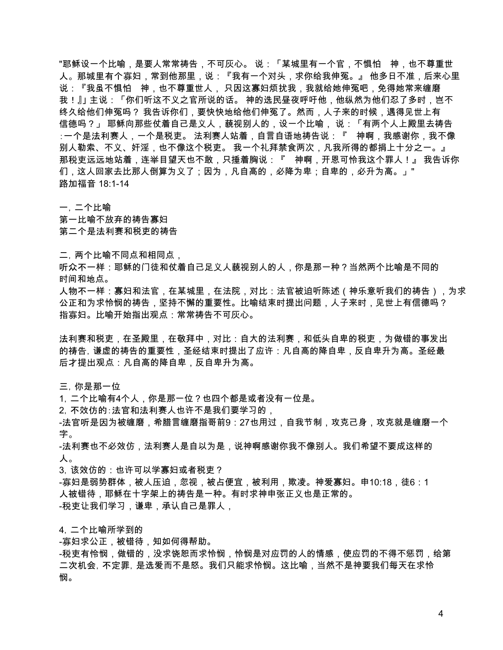"耶稣设一个比喻,是要人常常祷告,不可灰心。 说:「某城里有一个官,不惧怕 神,也不尊重世 人。 那城里有个寡妇,常到他那里,说:『我有一个对头,求你给我伸冤。』 他多日不准,后来心里 说:『我虽不惧怕 神,也不尊重世人, 只因这寡妇烦扰我,我就给她伸冤吧,免得她常来缠磨 我!』」 主说:「你们听这不义之官所说的话。 神的选民昼夜呼吁他,他纵然为他们忍了多时,岂不 终久给他们伸冤吗? 我告诉你们,要快快地给他们伸冤了。然而,人子来的时候,遇得见世上有 信德吗?」 耶稣向那些仗着自己是义人,藐视别人的,设一个比喻, 说:「有两个人上殿里去祷告 :一个是法利赛人,一个是税吏。 法利赛人站着,自言自语地祷告说:『 神啊,我感谢你,我不像 别人勒索、不义、奸淫,也不像这个税吏。 我一个礼拜禁食两次,凡我所得的都捐上十分之一。』 那税吏远远地站着,连举目望天也不敢,只捶着胸说:『 神啊,开恩可怜我这个罪人!』 我告诉你 们,这人回家去比那人倒算为义了;因为,凡自高的,必降为卑;自卑的,必升为高。」" 路加福音 18:1-14

一,二个比喻

第一比喻不放弃的祷告寡妇 第二个是法利赛和税吏的祷告

二,两个比喻不同点和相同点,

听众不一样:耶稣的门徒和仗着自己足义人藐视别人的人,你是那一种?当然两个比喻是不同的 时间和地点。

人物不一样:寡妇和法官,在某城里,在法院,对比:法官被迫听陈述(神乐意听我们的祷告),为求 公正和为求怜悯的祷告,坚持不懈的重要性。比喻结束时提出问题,人子来时,见世上有信德吗? 指寡妇。比喻开始指出观点:常常祷告不可灰心。

法利赛和税吏,在圣殿里,在敬拜中,对比:自大的法利赛,和低头自卑的税吏,为做错的事发出 的祷告,谦虚的祷告的重要性,圣经结束时提出了应许:凡自高的降自卑,反自卑升为高。圣经最 后才提出观点:凡自高的降自卑,反自卑升为高。

三,你是那一位

1,二个比喻有4个人,你是那一位?也四个都是或者没有一位是。

2,不效仿的:法官和法利赛人也许不是我们要学习的,

-法官听是因为被缠磨,希腊言缠磨指哥前9:27也用过,自我节制,攻克己身,攻克就是缠磨一个 字。

-法利赛也不必效仿,法利赛人是自以为是,说神啊感谢你我不像别人。我们希望不要成这样的 人。

3,该效仿的:也许可以学寡妇或者税吏?

-寡妇是弱势群体,被人压迫,忽视,被占便宜,被利用,欺凌。神爱寡妇。申10:18,徒6:1 人被错待,耶稣在十字架上的祷告是一种。有时求神申张正义也是正常的。 -税吏让我们学习,谦卑,承认自己是罪人,

4,二个比喻所学到的

-寡妇求公正,被错待,知如何得帮助。

-税吏有怜悯,做错的,没求饶恕而求怜悯,怜悯是对应罚的人的情感,使应罚的不得不惩罚,给第 二次机会,不定罪,是选爱而不是怒。我们只能求怜悯。这比喻,当然不是神要我们每天在求怜 悯。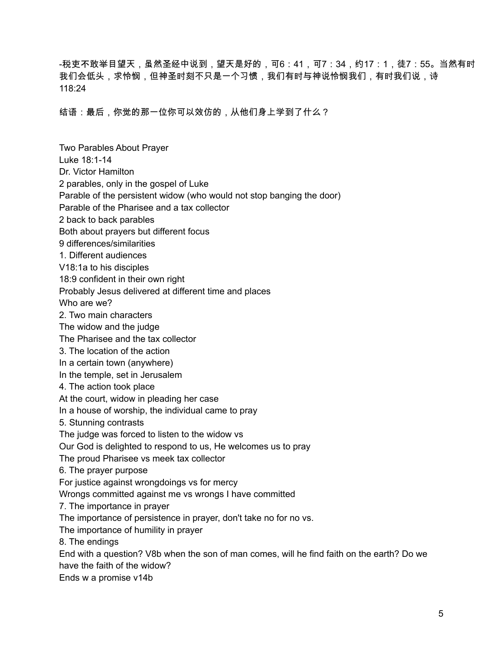-税吏不敢举目望天,虽然圣经中说到,望天是好的,可6:41,可7:34,约17:1,徒7:55。当然有时 我们会低头,求怜悯,但神圣时刻不只是一个习惯,我们有时与神说怜悯我们,有时我们说,诗 118:24

结语:最后,你觉的那一位你可以效仿的,从他们身上学到了什么?

Two Parables About Prayer Luke 18:1-14 Dr. Victor Hamilton 2 parables, only in the gospel of Luke Parable of the persistent widow (who would not stop banging the door) Parable of the Pharisee and a tax collector 2 back to back parables Both about prayers but different focus 9 differences/similarities 1. Different audiences V18:1a to his disciples 18:9 confident in their own right Probably Jesus delivered at different time and places Who are we? 2. Two main characters The widow and the judge The Pharisee and the tax collector 3. The location of the action In a certain town (anywhere) In the temple, set in Jerusalem 4. The action took place At the court, widow in pleading her case In a house of worship, the individual came to pray 5. Stunning contrasts The judge was forced to listen to the widow vs Our God is delighted to respond to us, He welcomes us to pray The proud Pharisee vs meek tax collector 6. The prayer purpose For justice against wrongdoings vs for mercy Wrongs committed against me vs wrongs I have committed 7. The importance in prayer The importance of persistence in prayer, don't take no for no vs. The importance of humility in prayer 8. The endings End with a question? V8b when the son of man comes, will he find faith on the earth? Do we have the faith of the widow? Ends w a promise v14b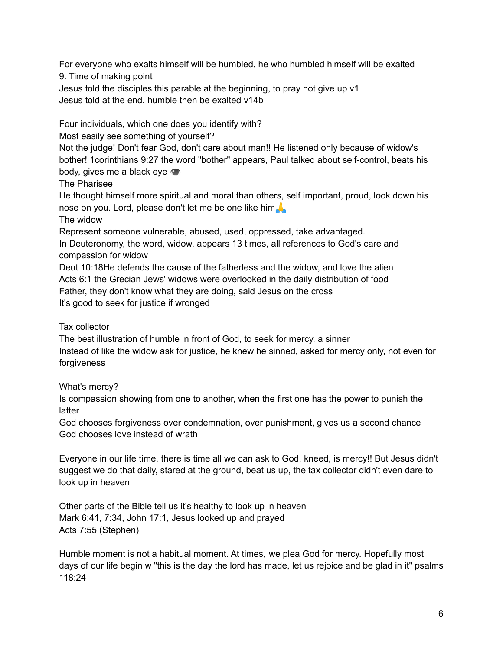For everyone who exalts himself will be humbled, he who humbled himself will be exalted 9. Time of making point

Jesus told the disciples this parable at the beginning, to pray not give up v1 Jesus told at the end, humble then be exalted v14b

Four individuals, which one does you identify with?

Most easily see something of yourself?

Not the judge! Don't fear God, don't care about man!! He listened only because of widow's bother! 1corinthians 9:27 the word "bother" appears, Paul talked about self-control, beats his body, gives me a black eye

The Pharisee

He thought himself more spiritual and moral than others, self important, proud, look down his nose on you. Lord, please don't let me be one like him

The widow

Represent someone vulnerable, abused, used, oppressed, take advantaged.

In Deuteronomy, the word, widow, appears 13 times, all references to God's care and compassion for widow

Deut 10:18He defends the cause of the fatherless and the widow, and love the alien Acts 6:1 the Grecian Jews' widows were overlooked in the daily distribution of food Father, they don't know what they are doing, said Jesus on the cross It's good to seek for justice if wronged

Tax collector

The best illustration of humble in front of God, to seek for mercy, a sinner Instead of like the widow ask for justice, he knew he sinned, asked for mercy only, not even for forgiveness

What's mercy?

Is compassion showing from one to another, when the first one has the power to punish the latter

God chooses forgiveness over condemnation, over punishment, gives us a second chance God chooses love instead of wrath

Everyone in our life time, there is time all we can ask to God, kneed, is mercy!! But Jesus didn't suggest we do that daily, stared at the ground, beat us up, the tax collector didn't even dare to look up in heaven

Other parts of the Bible tell us it's healthy to look up in heaven Mark 6:41, 7:34, John 17:1, Jesus looked up and prayed Acts 7:55 (Stephen)

Humble moment is not a habitual moment. At times, we plea God for mercy. Hopefully most days of our life begin w "this is the day the lord has made, let us rejoice and be glad in it" psalms 118:24